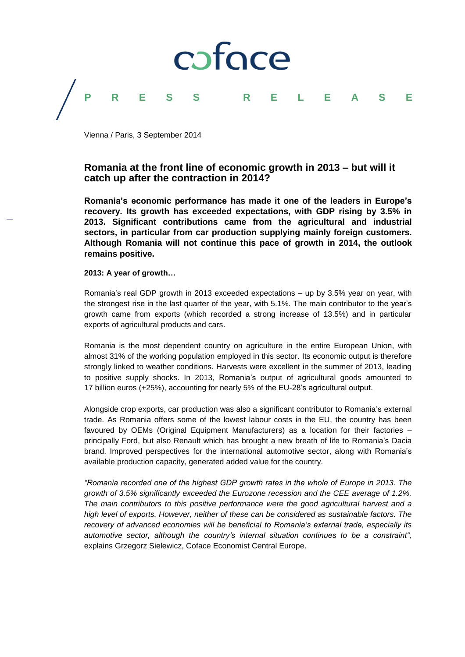# coface **PRESS RELEASE**

Vienna / Paris, 3 September 2014

# **Romania at the front line of economic growth in 2013 – but will it catch up after the contraction in 2014?**

**Romania's economic performance has made it one of the leaders in Europe's recovery. Its growth has exceeded expectations, with GDP rising by 3.5% in 2013. Significant contributions came from the agricultural and industrial sectors, in particular from car production supplying mainly foreign customers. Although Romania will not continue this pace of growth in 2014, the outlook remains positive.** 

### **2013: A year of growth…**

Romania's real GDP growth in 2013 exceeded expectations – up by 3.5% year on year, with the strongest rise in the last quarter of the year, with 5.1%. The main contributor to the year's growth came from exports (which recorded a strong increase of 13.5%) and in particular exports of agricultural products and cars.

Romania is the most dependent country on agriculture in the entire European Union, with almost 31% of the working population employed in this sector. Its economic output is therefore strongly linked to weather conditions. Harvests were excellent in the summer of 2013, leading to positive supply shocks. In 2013, Romania's output of agricultural goods amounted to 17 billion euros (+25%), accounting for nearly 5% of the EU-28's agricultural output.

Alongside crop exports, car production was also a significant contributor to Romania's external trade. As Romania offers some of the lowest labour costs in the EU, the country has been favoured by OEMs (Original Equipment Manufacturers) as a location for their factories – principally Ford, but also Renault which has brought a new breath of life to Romania's Dacia brand. Improved perspectives for the international automotive sector, along with Romania's available production capacity, generated added value for the country.

*"Romania recorded one of the highest GDP growth rates in the whole of Europe in 2013. The growth of 3.5% significantly exceeded the Eurozone recession and the CEE average of 1.2%. The main contributors to this positive performance were the good agricultural harvest and a high level of exports. However, neither of these can be considered as sustainable factors. The recovery of advanced economies will be beneficial to Romania's external trade, especially its automotive sector, although the country's internal situation continues to be a constraint",* explains Grzegorz Sielewicz, Coface Economist Central Europe.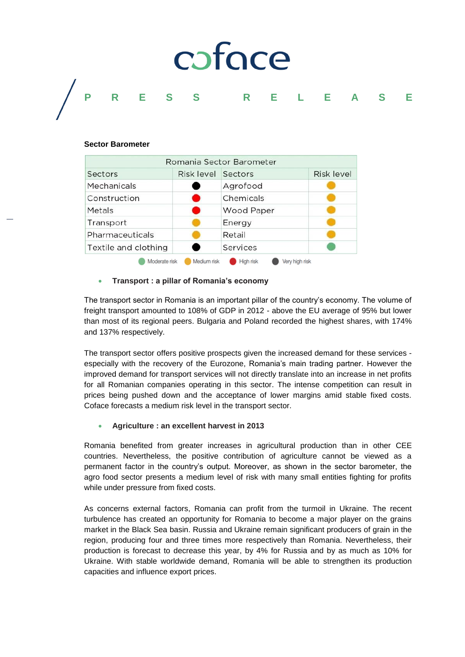# coface **PRESS RELEASE**

#### **Sector Barometer**

| Romania Sector Barometer |                   |                             |                   |
|--------------------------|-------------------|-----------------------------|-------------------|
| Sectors                  | <b>Risk level</b> | Sectors                     | <b>Risk level</b> |
| Mechanicals              |                   | Agrofood                    |                   |
| Construction             |                   | Chemicals                   |                   |
| Metals                   | M                 | <b>Wood Paper</b>           |                   |
| Transport                |                   | Energy                      |                   |
| Pharmaceuticals          |                   | Retail                      |                   |
| Textile and clothing     |                   | Services                    |                   |
| Moderate risk            | Medium risk       | High risk<br>Verv hiah risk |                   |

## **Transport : a pillar of Romania's economy**

The transport sector in Romania is an important pillar of the country's economy. The volume of freight transport amounted to 108% of GDP in 2012 - above the EU average of 95% but lower than most of its regional peers. Bulgaria and Poland recorded the highest shares, with 174% and 137% respectively.

The transport sector offers positive prospects given the increased demand for these services especially with the recovery of the Eurozone, Romania's main trading partner. However the improved demand for transport services will not directly translate into an increase in net profits for all Romanian companies operating in this sector. The intense competition can result in prices being pushed down and the acceptance of lower margins amid stable fixed costs. Coface forecasts a medium risk level in the transport sector.

### **Agriculture : an excellent harvest in 2013**

Romania benefited from greater increases in agricultural production than in other CEE countries. Nevertheless, the positive contribution of agriculture cannot be viewed as a permanent factor in the country's output. Moreover, as shown in the sector barometer, the agro food sector presents a medium level of risk with many small entities fighting for profits while under pressure from fixed costs.

As concerns external factors, Romania can profit from the turmoil in Ukraine. The recent turbulence has created an opportunity for Romania to become a major player on the grains market in the Black Sea basin. Russia and Ukraine remain significant producers of grain in the region, producing four and three times more respectively than Romania. Nevertheless, their production is forecast to decrease this year, by 4% for Russia and by as much as 10% for Ukraine. With stable worldwide demand, Romania will be able to strengthen its production capacities and influence export prices.